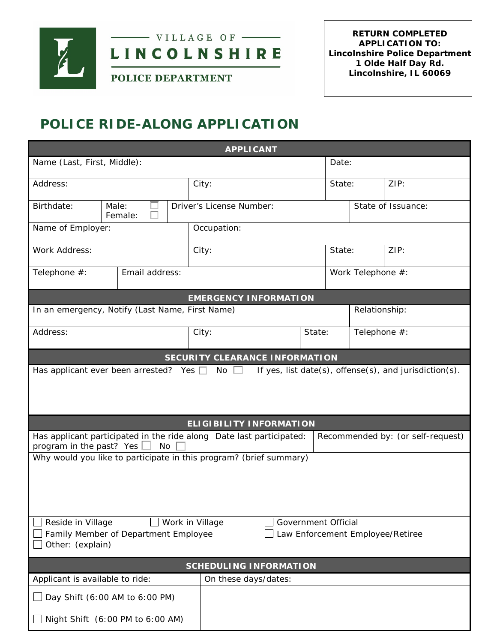



POLICE DEPARTMENT

# **POLICE RIDE-ALONG APPLICATION**

| <b>APPLICANT</b>                                                                                                                                            |                |             |                                       |  |        |                                   |      |  |
|-------------------------------------------------------------------------------------------------------------------------------------------------------------|----------------|-------------|---------------------------------------|--|--------|-----------------------------------|------|--|
| Name (Last, First, Middle):                                                                                                                                 |                |             |                                       |  |        | Date:                             |      |  |
| Address:                                                                                                                                                    |                |             | City:                                 |  | State: |                                   | ZIP: |  |
| Birthdate:<br>Male:<br>Female:                                                                                                                              |                |             | Driver's License Number:              |  |        | State of Issuance:                |      |  |
| Name of Employer:                                                                                                                                           |                | Occupation: |                                       |  |        |                                   |      |  |
| Work Address:                                                                                                                                               |                |             | City:                                 |  | State: |                                   | ZIP: |  |
| Telephone #:                                                                                                                                                | Email address: |             |                                       |  |        | Work Telephone #:                 |      |  |
| <b>EMERGENCY INFORMATION</b>                                                                                                                                |                |             |                                       |  |        |                                   |      |  |
| In an emergency, Notify (Last Name, First Name)                                                                                                             |                |             |                                       |  |        | Relationship:                     |      |  |
| Address:                                                                                                                                                    |                |             | City:                                 |  | State: | Telephone #:                      |      |  |
|                                                                                                                                                             |                |             | <b>SECURITY CLEARANCE INFORMATION</b> |  |        |                                   |      |  |
| If yes, list date(s), offense(s), and jurisdiction(s).<br>Has applicant ever been arrested? Yes $\Box$<br>No $\square$<br><b>ELIGIBILITY INFORMATION</b>    |                |             |                                       |  |        |                                   |      |  |
| Has applicant participated in the ride along $\vert$ Date last participated:<br>No                                                                          |                |             |                                       |  |        | Recommended by: (or self-request) |      |  |
| program in the past? Yes<br>Why would you like to participate in this program? (brief summary)                                                              |                |             |                                       |  |        |                                   |      |  |
| Government Official<br>Reside in Village<br>Work in Village<br>Family Member of Department Employee<br>Law Enforcement Employee/Retiree<br>Other: (explain) |                |             |                                       |  |        |                                   |      |  |
| <b>SCHEDULING INFORMATION</b>                                                                                                                               |                |             |                                       |  |        |                                   |      |  |
| Applicant is available to ride:                                                                                                                             |                |             | On these days/dates:                  |  |        |                                   |      |  |
| Day Shift (6:00 AM to 6:00 PM)                                                                                                                              |                |             |                                       |  |        |                                   |      |  |
| Night Shift (6:00 PM to 6:00 AM)                                                                                                                            |                |             |                                       |  |        |                                   |      |  |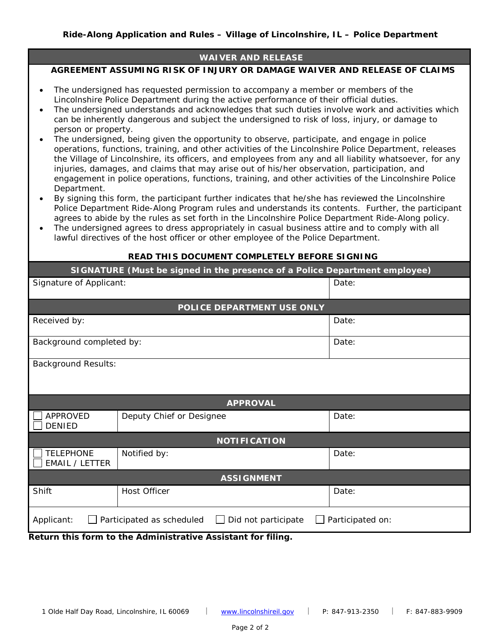#### **WAIVER AND RELEASE**

#### **AGREEMENT ASSUMING RISK OF INJURY OR DAMAGE WAIVER AND RELEASE OF CLAIMS**

- The undersigned has requested permission to accompany a member or members of the Lincolnshire Police Department during the active performance of their official duties.
- The undersigned understands and acknowledges that such duties involve work and activities which can be inherently dangerous and subject the undersigned to risk of loss, injury, or damage to person or property.
- The undersigned, being given the opportunity to observe, participate, and engage in police operations, functions, training, and other activities of the Lincolnshire Police Department, releases the Village of Lincolnshire, its officers, and employees from any and all liability whatsoever, for any injuries, damages, and claims that may arise out of his/her observation, participation, and engagement in police operations, functions, training, and other activities of the Lincolnshire Police Department.
- By signing this form, the participant further indicates that he/she has reviewed the Lincolnshire Police Department Ride-Along Program rules and understands its contents. Further, the participant agrees to abide by the rules as set forth in the Lincolnshire Police Department Ride-Along policy.
- The undersigned agrees to dress appropriately in casual business attire and to comply with all lawful directives of the host officer or other employee of the Police Department.

#### **READ THIS DOCUMENT COMPLETELY BEFORE SIGNING**

| SIGNATURE (Must be signed in the presence of a Police Department employee)                                                                 |                          |       |  |  |  |  |  |
|--------------------------------------------------------------------------------------------------------------------------------------------|--------------------------|-------|--|--|--|--|--|
| Signature of Applicant:                                                                                                                    |                          | Date: |  |  |  |  |  |
| POLICE DEPARTMENT USE ONLY                                                                                                                 |                          |       |  |  |  |  |  |
| Received by:                                                                                                                               |                          | Date: |  |  |  |  |  |
| Background completed by:                                                                                                                   |                          | Date: |  |  |  |  |  |
| <b>Background Results:</b>                                                                                                                 |                          |       |  |  |  |  |  |
| <b>APPROVAL</b>                                                                                                                            |                          |       |  |  |  |  |  |
| <b>APPROVED</b><br><b>DENIED</b>                                                                                                           | Deputy Chief or Designee | Date: |  |  |  |  |  |
| <b>NOTIFICATION</b>                                                                                                                        |                          |       |  |  |  |  |  |
| <b>TELEPHONE</b><br>EMAIL / LETTER                                                                                                         | Notified by:             | Date: |  |  |  |  |  |
| <b>ASSIGNMENT</b>                                                                                                                          |                          |       |  |  |  |  |  |
| Shift                                                                                                                                      | <b>Host Officer</b>      | Date: |  |  |  |  |  |
| Participated as scheduled<br>Did not participate<br>Participated on:<br>Applicant:<br>$\mathbf{r}$ . The state of $\mathbf{r}$<br>$\cdots$ |                          |       |  |  |  |  |  |

**Return this form to the Administrative Assistant for filing.**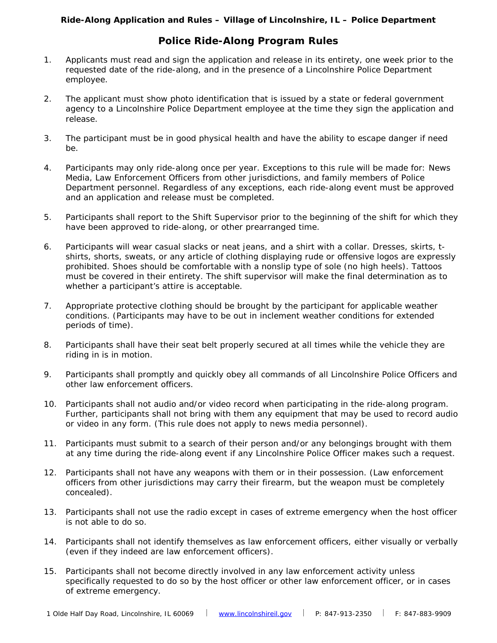### **Ride-Along Application and Rules – Village of Lincolnshire, IL – Police Department**

## **Police Ride-Along Program Rules**

- *1.* Applicants must read and sign the application and release in its entirety, one week prior to the requested date of the ride-along, and in the presence of a Lincolnshire Police Department employee.
- *2.* The applicant must show photo identification that is issued by a state or federal government agency to a Lincolnshire Police Department employee at the time they sign the application and release.
- *3.* The participant must be in good physical health and have the ability to escape danger if need be.
- *4.* Participants may only ride-along once per year. Exceptions to this rule will be made for: News Media, Law Enforcement Officers from other jurisdictions, and family members of Police Department personnel. Regardless of any exceptions, each ride-along event must be approved and an application and release must be completed.
- *5.* Participants shall report to the Shift Supervisor prior to the beginning of the shift for which they have been approved to ride-along, or other prearranged time.
- *6.* Participants will wear casual slacks or neat jeans, and a shirt with a collar. Dresses, skirts, tshirts, shorts, sweats, or any article of clothing displaying rude or offensive logos are expressly prohibited. Shoes should be comfortable with a nonslip type of sole (no high heels). Tattoos must be covered in their entirety. The shift supervisor will make the final determination as to whether a participant's attire is acceptable.
- *7.* Appropriate protective clothing should be brought by the participant for applicable weather conditions. (Participants may have to be out in inclement weather conditions for extended periods of time).
- *8.* Participants shall have their seat belt properly secured at all times while the vehicle they are riding in is in motion.
- *9.* Participants shall promptly and quickly obey all commands of all Lincolnshire Police Officers and other law enforcement officers.
- *10.* Participants shall not audio and/or video record when participating in the ride-along program. Further, participants shall not bring with them any equipment that may be used to record audio or video in any form. (This rule does not apply to news media personnel).
- *11.* Participants must submit to a search of their person and/or any belongings brought with them at any time during the ride-along event if any Lincolnshire Police Officer makes such a request.
- *12.* Participants shall not have any weapons with them or in their possession. (Law enforcement officers from other jurisdictions may carry their firearm, but the weapon must be completely concealed).
- *13.* Participants shall not use the radio except in cases of extreme emergency when the host officer is not able to do so.
- *14.* Participants shall not identify themselves as law enforcement officers, either visually or verbally (even if they indeed are law enforcement officers).
- *15.* Participants shall not become directly involved in any law enforcement activity unless specifically requested to do so by the host officer or other law enforcement officer, or in cases of extreme emergency.